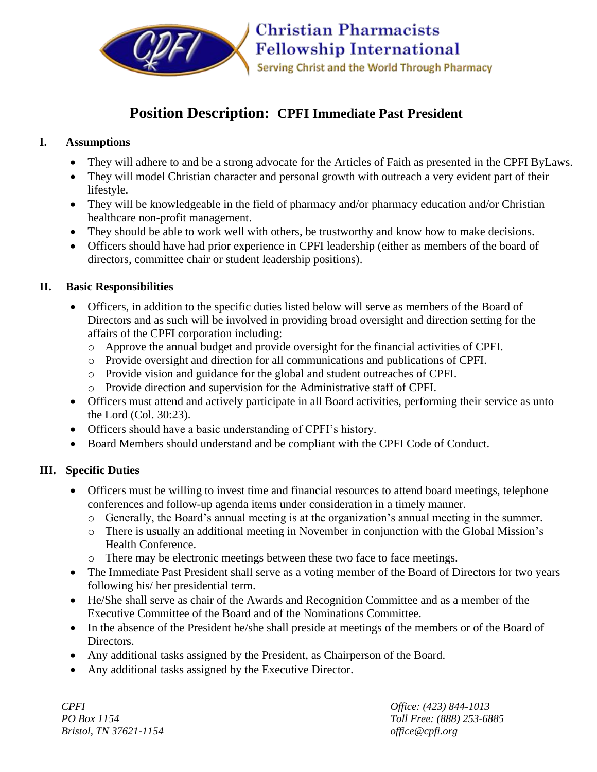

# **Position Description: CPFI Immediate Past President**

## **I. Assumptions**

- They will adhere to and be a strong advocate for the Articles of Faith as presented in the CPFI ByLaws.
- They will model Christian character and personal growth with outreach a very evident part of their lifestyle.
- They will be knowledgeable in the field of pharmacy and/or pharmacy education and/or Christian healthcare non-profit management.
- They should be able to work well with others, be trustworthy and know how to make decisions.
- Officers should have had prior experience in CPFI leadership (either as members of the board of directors, committee chair or student leadership positions).

### **II. Basic Responsibilities**

- Officers, in addition to the specific duties listed below will serve as members of the Board of Directors and as such will be involved in providing broad oversight and direction setting for the affairs of the CPFI corporation including:
	- o Approve the annual budget and provide oversight for the financial activities of CPFI.
	- o Provide oversight and direction for all communications and publications of CPFI.
	- o Provide vision and guidance for the global and student outreaches of CPFI.
	- o Provide direction and supervision for the Administrative staff of CPFI.
- Officers must attend and actively participate in all Board activities, performing their service as unto the Lord (Col. 30:23).
- Officers should have a basic understanding of CPFI's history.
- Board Members should understand and be compliant with the CPFI Code of Conduct.

## **III. Specific Duties**

- Officers must be willing to invest time and financial resources to attend board meetings, telephone conferences and follow-up agenda items under consideration in a timely manner.
	- o Generally, the Board's annual meeting is at the organization's annual meeting in the summer.
	- o There is usually an additional meeting in November in conjunction with the Global Mission's Health Conference.
	- o There may be electronic meetings between these two face to face meetings.
- The Immediate Past President shall serve as a voting member of the Board of Directors for two years following his/ her presidential term.
- He/She shall serve as chair of the Awards and Recognition Committee and as a member of the Executive Committee of the Board and of the Nominations Committee.
- In the absence of the President he/she shall preside at meetings of the members or of the Board of Directors.
- Any additional tasks assigned by the President, as Chairperson of the Board.
- Any additional tasks assigned by the Executive Director.